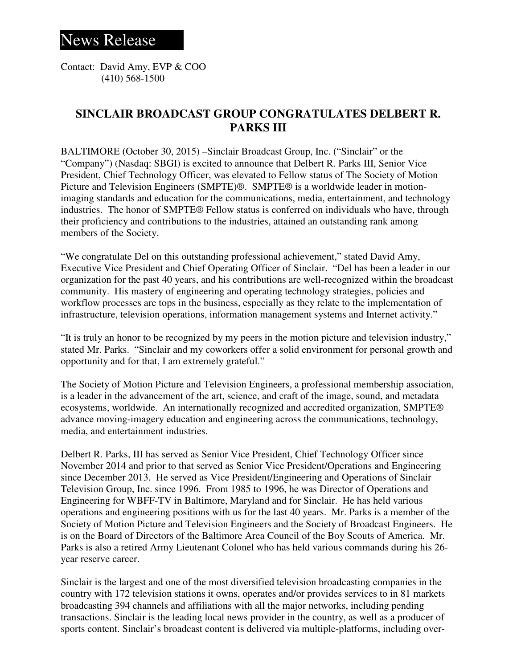Contact: David Amy, EVP & COO (410) 568-1500

## **SINCLAIR BROADCAST GROUP CONGRATULATES DELBERT R. PARKS III**

BALTIMORE (October 30, 2015) –Sinclair Broadcast Group, Inc. ("Sinclair" or the "Company") (Nasdaq: SBGI) is excited to announce that Delbert R. Parks III, Senior Vice President, Chief Technology Officer, was elevated to Fellow status of The Society of Motion Picture and Television Engineers (SMPTE)®. SMPTE® is a worldwide leader in motionimaging standards and education for the communications, media, entertainment, and technology industries. The honor of SMPTE® Fellow status is conferred on individuals who have, through their proficiency and contributions to the industries, attained an outstanding rank among members of the Society.

"We congratulate Del on this outstanding professional achievement," stated David Amy, Executive Vice President and Chief Operating Officer of Sinclair. "Del has been a leader in our organization for the past 40 years, and his contributions are well-recognized within the broadcast community. His mastery of engineering and operating technology strategies, policies and workflow processes are tops in the business, especially as they relate to the implementation of infrastructure, television operations, information management systems and Internet activity."

"It is truly an honor to be recognized by my peers in the motion picture and television industry," stated Mr. Parks. "Sinclair and my coworkers offer a solid environment for personal growth and opportunity and for that, I am extremely grateful."

The Society of Motion Picture and Television Engineers, a professional membership association, is a leader in the advancement of the art, science, and craft of the image, sound, and metadata ecosystems, worldwide. An internationally recognized and accredited organization, SMPTE® advance moving-imagery education and engineering across the communications, technology, media, and entertainment industries.

Delbert R. Parks, III has served as Senior Vice President, Chief Technology Officer since November 2014 and prior to that served as Senior Vice President/Operations and Engineering since December 2013. He served as Vice President/Engineering and Operations of Sinclair Television Group, Inc. since 1996. From 1985 to 1996, he was Director of Operations and Engineering for WBFF-TV in Baltimore, Maryland and for Sinclair. He has held various operations and engineering positions with us for the last 40 years. Mr. Parks is a member of the Society of Motion Picture and Television Engineers and the Society of Broadcast Engineers. He is on the Board of Directors of the Baltimore Area Council of the Boy Scouts of America. Mr. Parks is also a retired Army Lieutenant Colonel who has held various commands during his 26 year reserve career.

Sinclair is the largest and one of the most diversified television broadcasting companies in the country with 172 television stations it owns, operates and/or provides services to in 81 markets broadcasting 394 channels and affiliations with all the major networks, including pending transactions. Sinclair is the leading local news provider in the country, as well as a producer of sports content. Sinclair's broadcast content is delivered via multiple-platforms, including over